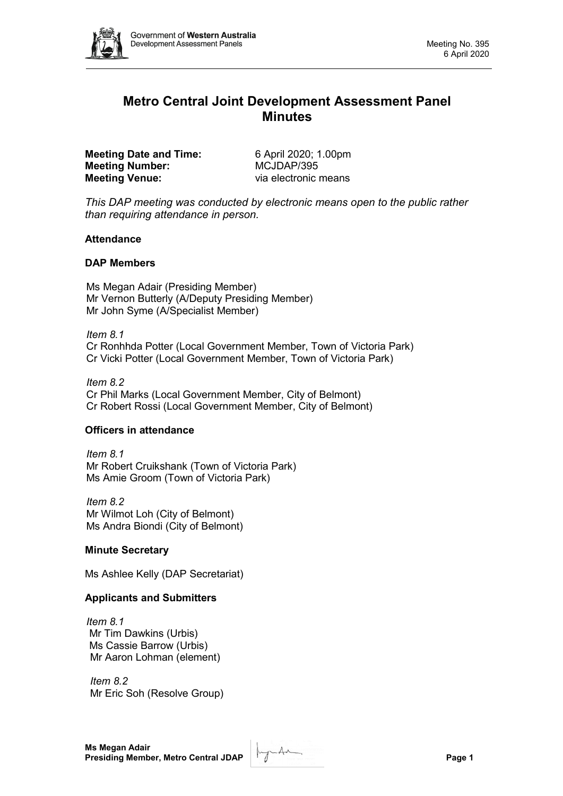

# **Metro Central Joint Development Assessment Panel Minutes**

**Meeting Date and Time:** 6 April 2020; 1.00pm<br> **Meeting Number:** MCJDAP/395 **Meeting Number: Meeting Venue:** via electronic means

*This DAP meeting was conducted by electronic means open to the public rather than requiring attendance in person.*

#### **Attendance**

# **DAP Members**

Ms Megan Adair (Presiding Member) Mr Vernon Butterly (A/Deputy Presiding Member) Mr John Syme (A/Specialist Member)

*Item 8.1*

Cr Ronhhda Potter (Local Government Member, Town of Victoria Park) Cr Vicki Potter (Local Government Member, Town of Victoria Park)

*Item 8.2* Cr Phil Marks (Local Government Member, City of Belmont) Cr Robert Rossi (Local Government Member, City of Belmont)

# **Officers in attendance**

*Item 8.1* Mr Robert Cruikshank (Town of Victoria Park) Ms Amie Groom (Town of Victoria Park)

*Item 8.2* Mr Wilmot Loh (City of Belmont) Ms Andra Biondi (City of Belmont)

# **Minute Secretary**

Ms Ashlee Kelly (DAP Secretariat)

# **Applicants and Submitters**

*Item 8.1* Mr Tim Dawkins (Urbis) Ms Cassie Barrow (Urbis) Mr Aaron Lohman (element)

*Item 8.2* Mr Eric Soh (Resolve Group)

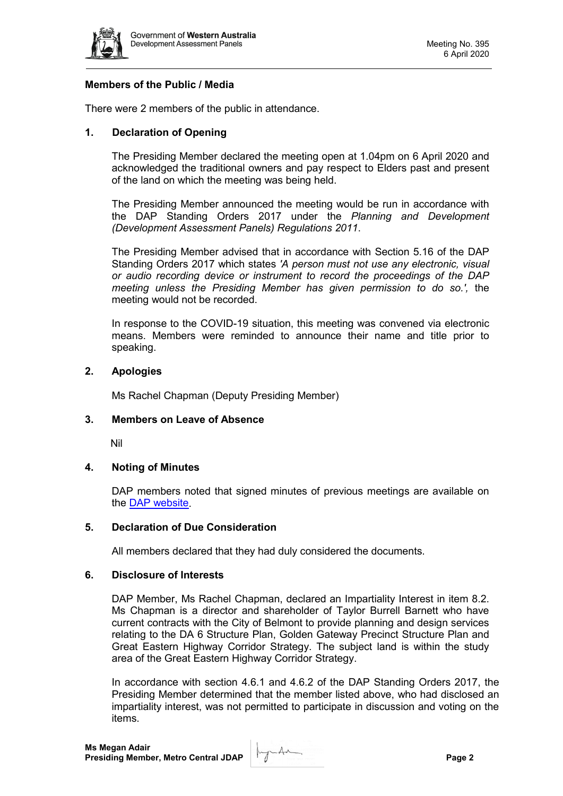

#### **Members of the Public / Media**

There were 2 members of the public in attendance.

#### **1. Declaration of Opening**

The Presiding Member declared the meeting open at 1.04pm on 6 April 2020 and acknowledged the traditional owners and pay respect to Elders past and present of the land on which the meeting was being held.

The Presiding Member announced the meeting would be run in accordance with the DAP Standing Orders 2017 under the *Planning and Development (Development Assessment Panels) Regulations 2011*.

The Presiding Member advised that in accordance with Section 5.16 of the DAP Standing Orders 2017 which states *'A person must not use any electronic, visual or audio recording device or instrument to record the proceedings of the DAP meeting unless the Presiding Member has given permission to do so.',* the meeting would not be recorded.

In response to the COVID-19 situation, this meeting was convened via electronic means. Members were reminded to announce their name and title prior to speaking.

#### **2. Apologies**

Ms Rachel Chapman (Deputy Presiding Member)

#### **3. Members on Leave of Absence**

Nil

#### **4. Noting of Minutes**

DAP members noted that signed minutes of previous meetings are available on the [DAP website.](https://www.dplh.wa.gov.au/about/development-assessment-panels/daps-agendas-and-minutes)

#### **5. Declaration of Due Consideration**

All members declared that they had duly considered the documents.

#### **6. Disclosure of Interests**

DAP Member, Ms Rachel Chapman, declared an Impartiality Interest in item 8.2. Ms Chapman is a director and shareholder of Taylor Burrell Barnett who have current contracts with the City of Belmont to provide planning and design services relating to the DA 6 Structure Plan, Golden Gateway Precinct Structure Plan and Great Eastern Highway Corridor Strategy. The subject land is within the study area of the Great Eastern Highway Corridor Strategy.

In accordance with section 4.6.1 and 4.6.2 of the DAP Standing Orders 2017, the Presiding Member determined that the member listed above, who had disclosed an impartiality interest, was not permitted to participate in discussion and voting on the items.

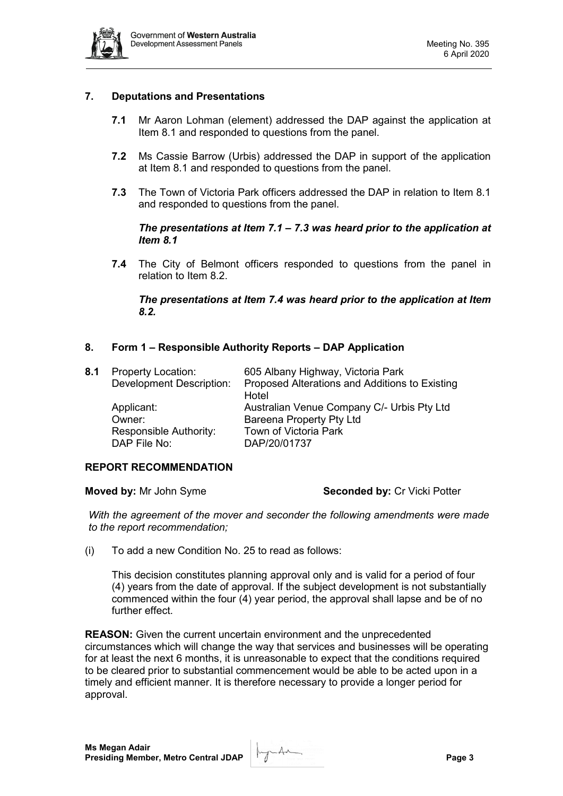

# **7. Deputations and Presentations**

- **7.1** Mr Aaron Lohman (element) addressed the DAP against the application at Item 8.1 and responded to questions from the panel.
- **7.2** Ms Cassie Barrow (Urbis) addressed the DAP in support of the application at Item 8.1 and responded to questions from the panel.
- **7.3** The Town of Victoria Park officers addressed the DAP in relation to Item 8.1 and responded to questions from the panel.

#### *The presentations at Item 7.1 – 7.3 was heard prior to the application at Item 8.1*

**7.4** The City of Belmont officers responded to questions from the panel in relation to Item 8.2.

#### *The presentations at Item 7.4 was heard prior to the application at Item 8.2.*

# **8. Form 1 – Responsible Authority Reports – DAP Application**

| <b>Property Location:</b>       | 605 Albany Highway, Victoria Park                       |
|---------------------------------|---------------------------------------------------------|
| <b>Development Description:</b> | Proposed Alterations and Additions to Existing<br>Hotel |
| Applicant:                      | Australian Venue Company C/- Urbis Pty Ltd              |
| Owner:                          | <b>Bareena Property Pty Ltd</b>                         |
| Responsible Authority:          | Town of Victoria Park                                   |
| DAP File No:                    | DAP/20/01737                                            |
|                                 |                                                         |

#### **REPORT RECOMMENDATION**

**Moved by:** Mr John Syme **Seconded by:** Cr Vicki Potter

*With the agreement of the mover and seconder the following amendments were made to the report recommendation;*

(i) To add a new Condition No. 25 to read as follows:

This decision constitutes planning approval only and is valid for a period of four (4) years from the date of approval. If the subject development is not substantially commenced within the four (4) year period, the approval shall lapse and be of no further effect.

**REASON:** Given the current uncertain environment and the unprecedented circumstances which will change the way that services and businesses will be operating for at least the next 6 months, it is unreasonable to expect that the conditions required to be cleared prior to substantial commencement would be able to be acted upon in a timely and efficient manner. It is therefore necessary to provide a longer period for approval.

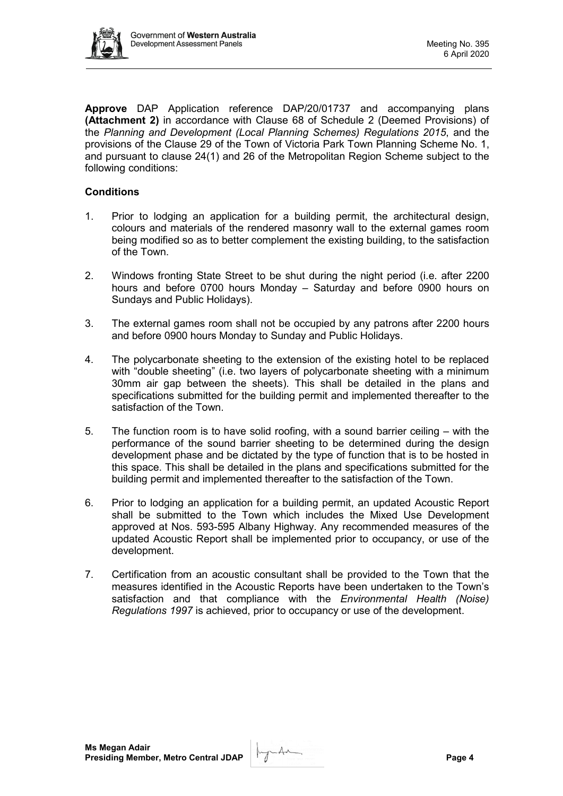

**Approve** DAP Application reference DAP/20/01737 and accompanying plans **(Attachment 2)** in accordance with Clause 68 of Schedule 2 (Deemed Provisions) of the *Planning and Development (Local Planning Schemes) Regulations 2015*, and the provisions of the Clause 29 of the Town of Victoria Park Town Planning Scheme No. 1, and pursuant to clause 24(1) and 26 of the Metropolitan Region Scheme subject to the following conditions:

# **Conditions**

- 1. Prior to lodging an application for a building permit, the architectural design, colours and materials of the rendered masonry wall to the external games room being modified so as to better complement the existing building, to the satisfaction of the Town.
- 2. Windows fronting State Street to be shut during the night period (i.e. after 2200 hours and before 0700 hours Monday – Saturday and before 0900 hours on Sundays and Public Holidays).
- 3. The external games room shall not be occupied by any patrons after 2200 hours and before 0900 hours Monday to Sunday and Public Holidays.
- 4. The polycarbonate sheeting to the extension of the existing hotel to be replaced with "double sheeting" (i.e. two layers of polycarbonate sheeting with a minimum 30mm air gap between the sheets). This shall be detailed in the plans and specifications submitted for the building permit and implemented thereafter to the satisfaction of the Town.
- 5. The function room is to have solid roofing, with a sound barrier ceiling with the performance of the sound barrier sheeting to be determined during the design development phase and be dictated by the type of function that is to be hosted in this space. This shall be detailed in the plans and specifications submitted for the building permit and implemented thereafter to the satisfaction of the Town.
- 6. Prior to lodging an application for a building permit, an updated Acoustic Report shall be submitted to the Town which includes the Mixed Use Development approved at Nos. 593-595 Albany Highway. Any recommended measures of the updated Acoustic Report shall be implemented prior to occupancy, or use of the development.
- 7. Certification from an acoustic consultant shall be provided to the Town that the measures identified in the Acoustic Reports have been undertaken to the Town's satisfaction and that compliance with the *Environmental Health (Noise) Regulations 1997* is achieved, prior to occupancy or use of the development.

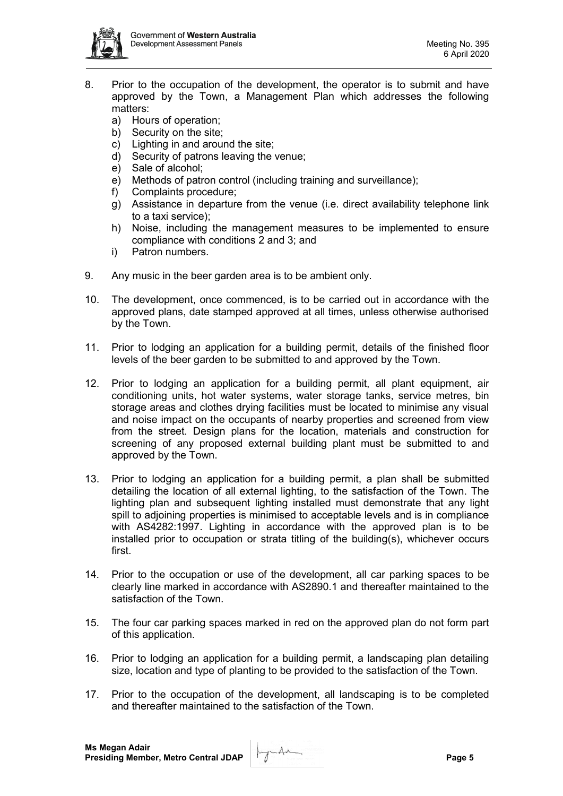

- 8. Prior to the occupation of the development, the operator is to submit and have approved by the Town, a Management Plan which addresses the following matters:
	- a) Hours of operation;
	- b) Security on the site;
	- c) Lighting in and around the site;
	- d) Security of patrons leaving the venue;
	- e) Sale of alcohol;
	- e) Methods of patron control (including training and surveillance);
	- f) Complaints procedure;
	- g) Assistance in departure from the venue (i.e. direct availability telephone link to a taxi service);
	- h) Noise, including the management measures to be implemented to ensure compliance with conditions 2 and 3; and
	- i) Patron numbers.
- 9. Any music in the beer garden area is to be ambient only.
- 10. The development, once commenced, is to be carried out in accordance with the approved plans, date stamped approved at all times, unless otherwise authorised by the Town.
- 11. Prior to lodging an application for a building permit, details of the finished floor levels of the beer garden to be submitted to and approved by the Town.
- 12. Prior to lodging an application for a building permit, all plant equipment, air conditioning units, hot water systems, water storage tanks, service metres, bin storage areas and clothes drying facilities must be located to minimise any visual and noise impact on the occupants of nearby properties and screened from view from the street. Design plans for the location, materials and construction for screening of any proposed external building plant must be submitted to and approved by the Town.
- 13. Prior to lodging an application for a building permit, a plan shall be submitted detailing the location of all external lighting, to the satisfaction of the Town. The lighting plan and subsequent lighting installed must demonstrate that any light spill to adjoining properties is minimised to acceptable levels and is in compliance with AS4282:1997. Lighting in accordance with the approved plan is to be installed prior to occupation or strata titling of the building(s), whichever occurs first.
- 14. Prior to the occupation or use of the development, all car parking spaces to be clearly line marked in accordance with AS2890.1 and thereafter maintained to the satisfaction of the Town.
- 15. The four car parking spaces marked in red on the approved plan do not form part of this application.
- 16. Prior to lodging an application for a building permit, a landscaping plan detailing size, location and type of planting to be provided to the satisfaction of the Town.
- 17. Prior to the occupation of the development, all landscaping is to be completed and thereafter maintained to the satisfaction of the Town.

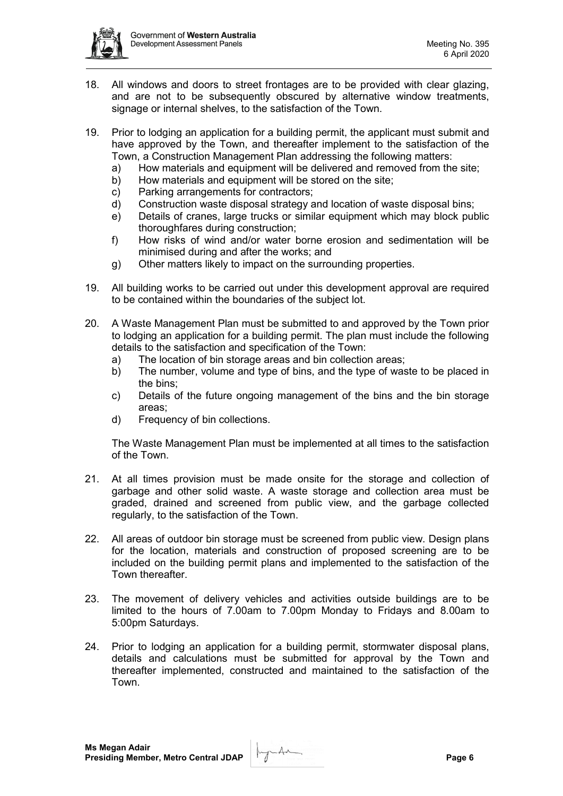

- 18. All windows and doors to street frontages are to be provided with clear glazing, and are not to be subsequently obscured by alternative window treatments, signage or internal shelves, to the satisfaction of the Town.
- 19. Prior to lodging an application for a building permit, the applicant must submit and have approved by the Town, and thereafter implement to the satisfaction of the Town, a Construction Management Plan addressing the following matters:
	- a) How materials and equipment will be delivered and removed from the site;
	- b) How materials and equipment will be stored on the site;
	- c) Parking arrangements for contractors;
	- d) Construction waste disposal strategy and location of waste disposal bins;
	- e) Details of cranes, large trucks or similar equipment which may block public thoroughfares during construction;
	- f) How risks of wind and/or water borne erosion and sedimentation will be minimised during and after the works; and
	- g) Other matters likely to impact on the surrounding properties.
- 19. All building works to be carried out under this development approval are required to be contained within the boundaries of the subject lot.
- 20. A Waste Management Plan must be submitted to and approved by the Town prior to lodging an application for a building permit. The plan must include the following details to the satisfaction and specification of the Town:
	- a) The location of bin storage areas and bin collection areas;
	- b) The number, volume and type of bins, and the type of waste to be placed in the bins;
	- c) Details of the future ongoing management of the bins and the bin storage areas;
	- d) Frequency of bin collections.

The Waste Management Plan must be implemented at all times to the satisfaction of the Town.

- 21. At all times provision must be made onsite for the storage and collection of garbage and other solid waste. A waste storage and collection area must be graded, drained and screened from public view, and the garbage collected regularly, to the satisfaction of the Town.
- 22. All areas of outdoor bin storage must be screened from public view. Design plans for the location, materials and construction of proposed screening are to be included on the building permit plans and implemented to the satisfaction of the Town thereafter.
- 23. The movement of delivery vehicles and activities outside buildings are to be limited to the hours of 7.00am to 7.00pm Monday to Fridays and 8.00am to 5:00pm Saturdays.
- 24. Prior to lodging an application for a building permit, stormwater disposal plans, details and calculations must be submitted for approval by the Town and thereafter implemented, constructed and maintained to the satisfaction of the Town.

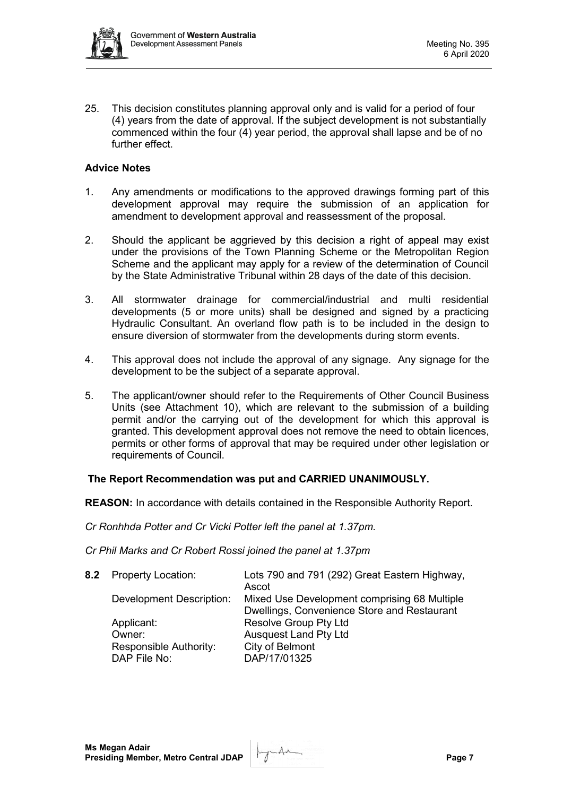

25. This decision constitutes planning approval only and is valid for a period of four (4) years from the date of approval. If the subject development is not substantially commenced within the four (4) year period, the approval shall lapse and be of no further effect.

# **Advice Notes**

- 1. Any amendments or modifications to the approved drawings forming part of this development approval may require the submission of an application for amendment to development approval and reassessment of the proposal.
- 2. Should the applicant be aggrieved by this decision a right of appeal may exist under the provisions of the Town Planning Scheme or the Metropolitan Region Scheme and the applicant may apply for a review of the determination of Council by the State Administrative Tribunal within 28 days of the date of this decision.
- 3. All stormwater drainage for commercial/industrial and multi residential developments (5 or more units) shall be designed and signed by a practicing Hydraulic Consultant. An overland flow path is to be included in the design to ensure diversion of stormwater from the developments during storm events.
- 4. This approval does not include the approval of any signage. Any signage for the development to be the subject of a separate approval.
- 5. The applicant/owner should refer to the Requirements of Other Council Business Units (see Attachment 10), which are relevant to the submission of a building permit and/or the carrying out of the development for which this approval is granted. This development approval does not remove the need to obtain licences, permits or other forms of approval that may be required under other legislation or requirements of Council.

# **The Report Recommendation was put and CARRIED UNANIMOUSLY.**

**REASON:** In accordance with details contained in the Responsible Authority Report.

*Cr Ronhhda Potter and Cr Vicki Potter left the panel at 1.37pm.*

*Cr Phil Marks and Cr Robert Rossi joined the panel at 1.37pm*

| 8.2 Property Location:          | Lots 790 and 791 (292) Great Eastern Highway,<br>Ascot                                      |
|---------------------------------|---------------------------------------------------------------------------------------------|
| <b>Development Description:</b> | Mixed Use Development comprising 68 Multiple<br>Dwellings, Convenience Store and Restaurant |
| Applicant:                      | <b>Resolve Group Pty Ltd</b>                                                                |
| Owner:                          | <b>Ausquest Land Pty Ltd</b>                                                                |
| Responsible Authority:          | City of Belmont                                                                             |
| DAP File No:                    | DAP/17/01325                                                                                |

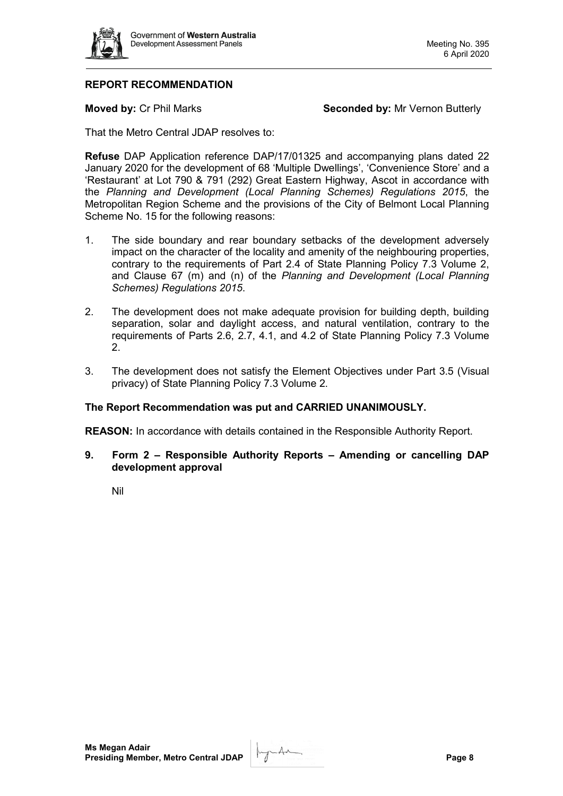

# **REPORT RECOMMENDATION**

**Moved by: Cr Phil Marks <b>Seconded by: Mr** Vernon Butterly

That the Metro Central JDAP resolves to:

**Refuse** DAP Application reference DAP/17/01325 and accompanying plans dated 22 January 2020 for the development of 68 'Multiple Dwellings', 'Convenience Store' and a 'Restaurant' at Lot 790 & 791 (292) Great Eastern Highway, Ascot in accordance with the *Planning and Development (Local Planning Schemes) Regulations 2015*, the Metropolitan Region Scheme and the provisions of the City of Belmont Local Planning Scheme No. 15 for the following reasons:

- 1. The side boundary and rear boundary setbacks of the development adversely impact on the character of the locality and amenity of the neighbouring properties, contrary to the requirements of Part 2.4 of State Planning Policy 7.3 Volume 2, and Clause 67 (m) and (n) of the *Planning and Development (Local Planning Schemes) Regulations 2015*.
- 2. The development does not make adequate provision for building depth, building separation, solar and daylight access, and natural ventilation, contrary to the requirements of Parts 2.6, 2.7, 4.1, and 4.2 of State Planning Policy 7.3 Volume 2.
- 3. The development does not satisfy the Element Objectives under Part 3.5 (Visual privacy) of State Planning Policy 7.3 Volume 2.

# **The Report Recommendation was put and CARRIED UNANIMOUSLY.**

**REASON:** In accordance with details contained in the Responsible Authority Report.

**9. Form 2 – Responsible Authority Reports – Amending or cancelling DAP development approval**

Nil